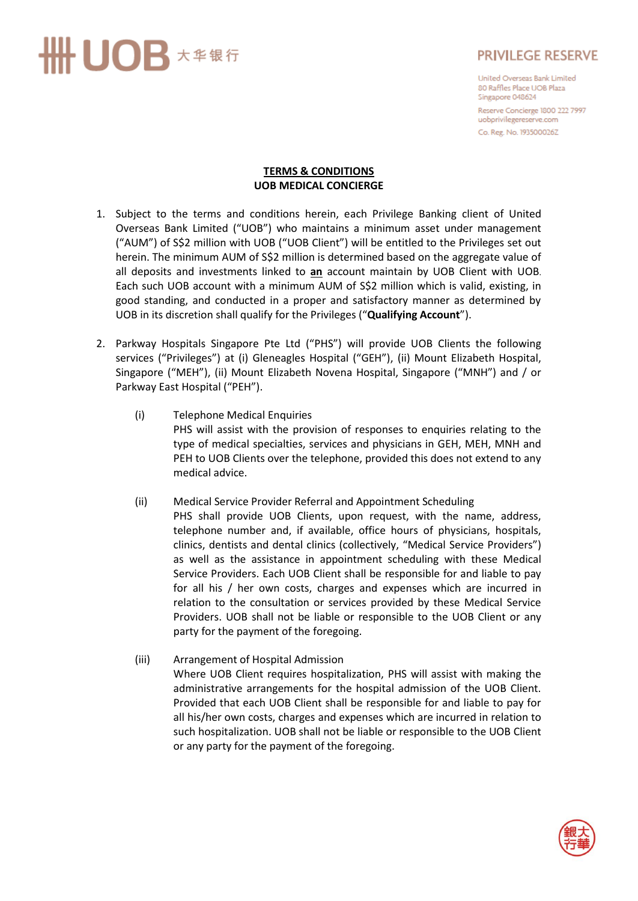## UOB 大华银行

## **PRIVILEGE RESERVE**

United Overseas Bank Limited 80 Raffles Place UOB Plaza Singapore 048624

Reserve Concierge 1800 222 7997 uobprivilegereserve.com Co. Reg. No. 193500026Z

#### **TERMS & CONDITIONS UOB MEDICAL CONCIERGE**

- 1. Subject to the terms and conditions herein, each Privilege Banking client of United Overseas Bank Limited ("UOB") who maintains a minimum asset under management ("AUM") of S\$2 million with UOB ("UOB Client") will be entitled to the Privileges set out herein. The minimum AUM of S\$2 million is determined based on the aggregate value of all deposits and investments linked to **an** account maintain by UOB Client with UOB. Each such UOB account with a minimum AUM of S\$2 million which is valid, existing, in good standing, and conducted in a proper and satisfactory manner as determined by UOB in its discretion shall qualify for the Privileges ("**Qualifying Account**").
- 2. Parkway Hospitals Singapore Pte Ltd ("PHS") will provide UOB Clients the following services ("Privileges") at (i) Gleneagles Hospital ("GEH"), (ii) Mount Elizabeth Hospital, Singapore ("MEH"), (ii) Mount Elizabeth Novena Hospital, Singapore ("MNH") and / or Parkway East Hospital ("PEH").
	- (i) Telephone Medical Enquiries PHS will assist with the provision of responses to enquiries relating to the type of medical specialties, services and physicians in GEH, MEH, MNH and PEH to UOB Clients over the telephone, provided this does not extend to any medical advice.
	- (ii) Medical Service Provider Referral and Appointment Scheduling PHS shall provide UOB Clients, upon request, with the name, address, telephone number and, if available, office hours of physicians, hospitals, clinics, dentists and dental clinics (collectively, "Medical Service Providers") as well as the assistance in appointment scheduling with these Medical Service Providers. Each UOB Client shall be responsible for and liable to pay for all his / her own costs, charges and expenses which are incurred in relation to the consultation or services provided by these Medical Service Providers. UOB shall not be liable or responsible to the UOB Client or any party for the payment of the foregoing.
	- (iii) Arrangement of Hospital Admission Where UOB Client requires hospitalization, PHS will assist with making the administrative arrangements for the hospital admission of the UOB Client. Provided that each UOB Client shall be responsible for and liable to pay for all his/her own costs, charges and expenses which are incurred in relation to such hospitalization. UOB shall not be liable or responsible to the UOB Client or any party for the payment of the foregoing.

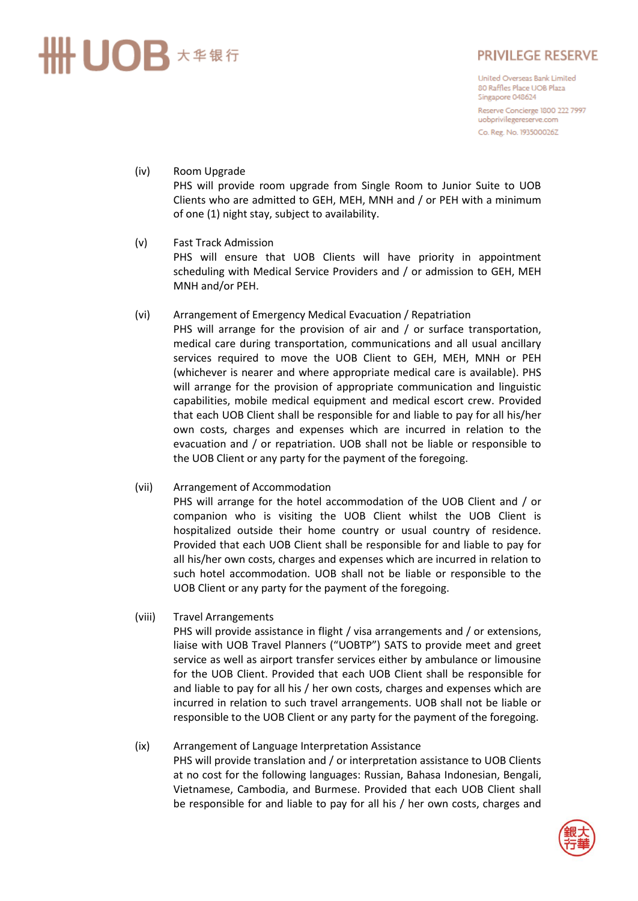# UOB 大华银行

## **PRIVILEGE RESERVE**

United Overseas Bank Limited 80 Raffles Place UOB Plaza Singapore 048624 Reserve Concierge 1800 222 7997 uobprivilegereserve.com

Co. Reg. No. 193500026Z

#### (iv) Room Upgrade PHS will provide room upgrade from Single Room to Junior Suite to UOB Clients who are admitted to GEH, MEH, MNH and / or PEH with a minimum of one (1) night stay, subject to availability.

- (v) Fast Track Admission PHS will ensure that UOB Clients will have priority in appointment scheduling with Medical Service Providers and / or admission to GEH, MEH MNH and/or PEH.
- (vi) Arrangement of Emergency Medical Evacuation / Repatriation PHS will arrange for the provision of air and / or surface transportation, medical care during transportation, communications and all usual ancillary services required to move the UOB Client to GEH, MEH, MNH or PEH (whichever is nearer and where appropriate medical care is available). PHS will arrange for the provision of appropriate communication and linguistic capabilities, mobile medical equipment and medical escort crew. Provided that each UOB Client shall be responsible for and liable to pay for all his/her own costs, charges and expenses which are incurred in relation to the evacuation and / or repatriation. UOB shall not be liable or responsible to the UOB Client or any party for the payment of the foregoing.
- (vii) Arrangement of Accommodation PHS will arrange for the hotel accommodation of the UOB Client and / or companion who is visiting the UOB Client whilst the UOB Client is hospitalized outside their home country or usual country of residence. Provided that each UOB Client shall be responsible for and liable to pay for all his/her own costs, charges and expenses which are incurred in relation to such hotel accommodation. UOB shall not be liable or responsible to the UOB Client or any party for the payment of the foregoing.
- (viii) Travel Arrangements PHS will provide assistance in flight / visa arrangements and / or extensions, liaise with UOB Travel Planners ("UOBTP") SATS to provide meet and greet service as well as airport transfer services either by ambulance or limousine for the UOB Client. Provided that each UOB Client shall be responsible for and liable to pay for all his / her own costs, charges and expenses which are incurred in relation to such travel arrangements. UOB shall not be liable or responsible to the UOB Client or any party for the payment of the foregoing.
- (ix) Arrangement of Language Interpretation Assistance PHS will provide translation and / or interpretation assistance to UOB Clients at no cost for the following languages: Russian, Bahasa Indonesian, Bengali, Vietnamese, Cambodia, and Burmese. Provided that each UOB Client shall be responsible for and liable to pay for all his / her own costs, charges and

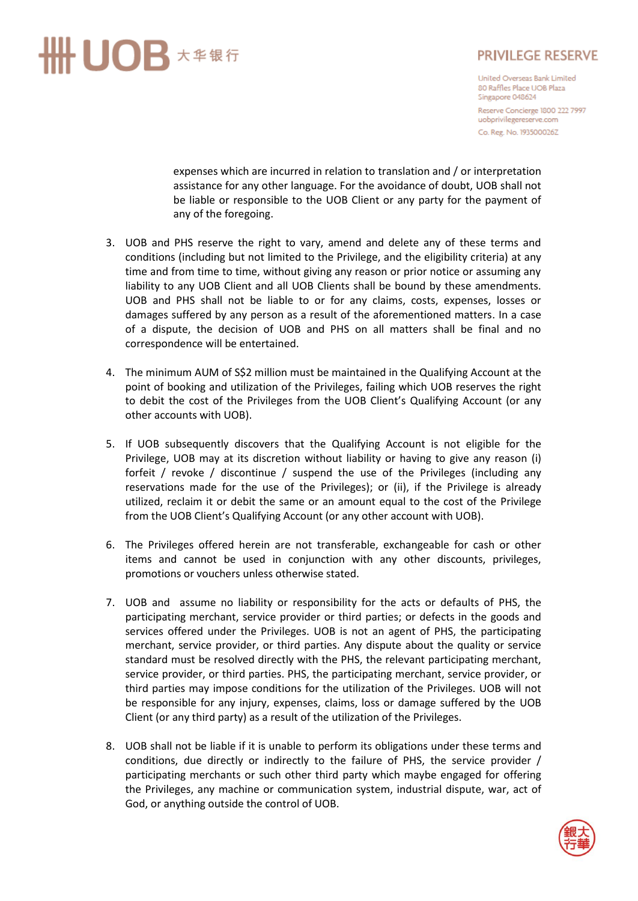

#### **PRIVILEGE RESERVE**

United Overseas Bank Limited 80 Raffles Place UOB Plaza Singapore 048624 Reserve Concierge 1800 222 7997 uobprivilegereserve.com Co. Reg. No. 193500026Z

expenses which are incurred in relation to translation and / or interpretation assistance for any other language. For the avoidance of doubt, UOB shall not be liable or responsible to the UOB Client or any party for the payment of any of the foregoing.

- 3. UOB and PHS reserve the right to vary, amend and delete any of these terms and conditions (including but not limited to the Privilege, and the eligibility criteria) at any time and from time to time, without giving any reason or prior notice or assuming any liability to any UOB Client and all UOB Clients shall be bound by these amendments. UOB and PHS shall not be liable to or for any claims, costs, expenses, losses or damages suffered by any person as a result of the aforementioned matters. In a case of a dispute, the decision of UOB and PHS on all matters shall be final and no correspondence will be entertained.
- 4. The minimum AUM of S\$2 million must be maintained in the Qualifying Account at the point of booking and utilization of the Privileges, failing which UOB reserves the right to debit the cost of the Privileges from the UOB Client's Qualifying Account (or any other accounts with UOB).
- 5. If UOB subsequently discovers that the Qualifying Account is not eligible for the Privilege, UOB may at its discretion without liability or having to give any reason (i) forfeit / revoke / discontinue / suspend the use of the Privileges (including any reservations made for the use of the Privileges); or (ii), if the Privilege is already utilized, reclaim it or debit the same or an amount equal to the cost of the Privilege from the UOB Client's Qualifying Account (or any other account with UOB).
- 6. The Privileges offered herein are not transferable, exchangeable for cash or other items and cannot be used in conjunction with any other discounts, privileges, promotions or vouchers unless otherwise stated.
- 7. UOB and assume no liability or responsibility for the acts or defaults of PHS, the participating merchant, service provider or third parties; or defects in the goods and services offered under the Privileges. UOB is not an agent of PHS, the participating merchant, service provider, or third parties. Any dispute about the quality or service standard must be resolved directly with the PHS, the relevant participating merchant, service provider, or third parties. PHS, the participating merchant, service provider, or third parties may impose conditions for the utilization of the Privileges. UOB will not be responsible for any injury, expenses, claims, loss or damage suffered by the UOB Client (or any third party) as a result of the utilization of the Privileges.
- 8. UOB shall not be liable if it is unable to perform its obligations under these terms and conditions, due directly or indirectly to the failure of PHS, the service provider / participating merchants or such other third party which maybe engaged for offering the Privileges, any machine or communication system, industrial dispute, war, act of God, or anything outside the control of UOB.

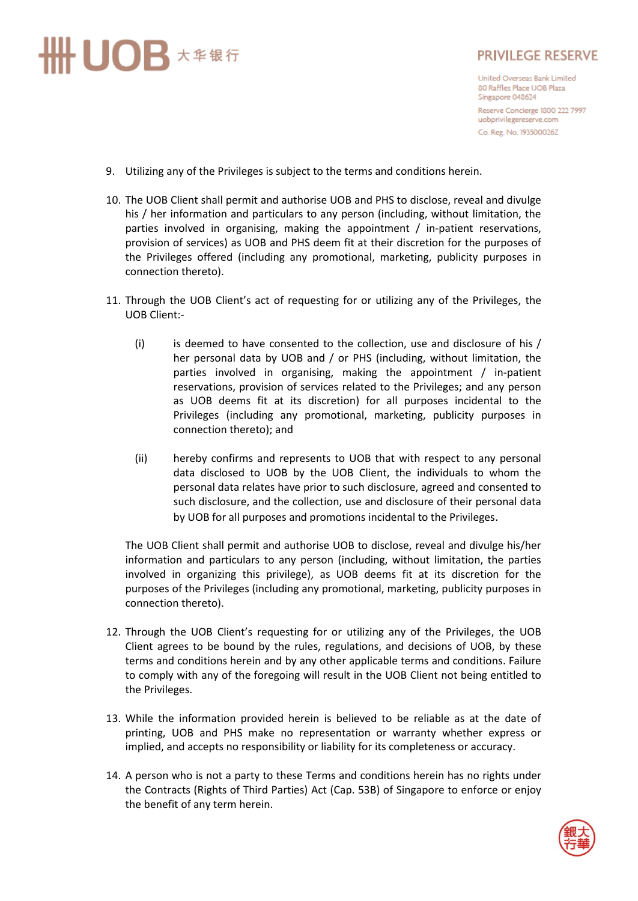

## **PRIVILEGE RESERVE**

United Overseas Bank Limited 80 Raffles Place UOB Plaza Singapore 048624 Reserve Concierge 1800 222 7997 uobprivilegereserve.com Co. Reg. No. 193500026Z

- 9. Utilizing any of the Privileges is subject to the terms and conditions herein.
- 10. The UOB Client shall permit and authorise UOB and PHS to disclose, reveal and divulge his / her information and particulars to any person (including, without limitation, the parties involved in organising, making the appointment / in-patient reservations, provision of services) as UOB and PHS deem fit at their discretion for the purposes of the Privileges offered (including any promotional, marketing, publicity purposes in connection thereto).
- 11. Through the UOB Client's act of requesting for or utilizing any of the Privileges, the UOB Client:-
	- (i) is deemed to have consented to the collection, use and disclosure of his / her personal data by UOB and / or PHS (including, without limitation, the parties involved in organising, making the appointment / in-patient reservations, provision of services related to the Privileges; and any person as UOB deems fit at its discretion) for all purposes incidental to the Privileges (including any promotional, marketing, publicity purposes in connection thereto); and
	- (ii) hereby confirms and represents to UOB that with respect to any personal data disclosed to UOB by the UOB Client, the individuals to whom the personal data relates have prior to such disclosure, agreed and consented to such disclosure, and the collection, use and disclosure of their personal data by UOB for all purposes and promotions incidental to the Privileges.

The UOB Client shall permit and authorise UOB to disclose, reveal and divulge his/her information and particulars to any person (including, without limitation, the parties involved in organizing this privilege), as UOB deems fit at its discretion for the purposes of the Privileges (including any promotional, marketing, publicity purposes in connection thereto).

- 12. Through the UOB Client's requesting for or utilizing any of the Privileges, the UOB Client agrees to be bound by the rules, regulations, and decisions of UOB, by these terms and conditions herein and by any other applicable terms and conditions. Failure to comply with any of the foregoing will result in the UOB Client not being entitled to the Privileges.
- 13. While the information provided herein is believed to be reliable as at the date of printing, UOB and PHS make no representation or warranty whether express or implied, and accepts no responsibility or liability for its completeness or accuracy.
- 14. A person who is not a party to these Terms and conditions herein has no rights under the Contracts (Rights of Third Parties) Act (Cap. 53B) of Singapore to enforce or enjoy the benefit of any term herein.